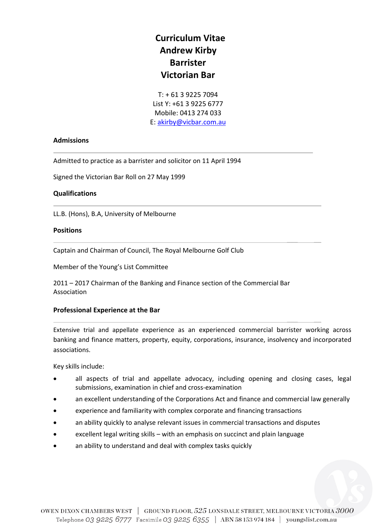# **Curriculum Vitae Andrew Kirby Barrister Victorian Bar**

T: + 61 3 9225 7094 List Y: +61 3 9225 6777 Mobile: 0413 274 033 E: [akirby@vicbar.com.au](mailto:akirby@vicbar.com.au)

\_\_\_ \_\_

#### **Admissions**

Admitted to practice as a barrister and solicitor on 11 April 1994

Signed the Victorian Bar Roll on 27 May 1999

#### **Qualifications**

LL.B. (Hons), B.A, University of Melbourne

#### **Positions**

Captain and Chairman of Council, The Royal Melbourne Golf Club

Member of the Young's List Committee

2011 – 2017 Chairman of the Banking and Finance section of the Commercial Bar Association

#### **Professional Experience at the Bar**

Extensive trial and appellate experience as an experienced commercial barrister working across banking and finance matters, property, equity, corporations, insurance, insolvency and incorporated associations.

\_\_\_ \_\_

\_\_\_ \_\_

\_\_\_ \_\_

Key skills include:

- all aspects of trial and appellate advocacy, including opening and closing cases, legal submissions, examination in chief and cross-examination
- an excellent understanding of the Corporations Act and finance and commercial law generally
- experience and familiarity with complex corporate and financing transactions
- an ability quickly to analyse relevant issues in commercial transactions and disputes
- excellent legal writing skills with an emphasis on succinct and plain language
- an ability to understand and deal with complex tasks quickly